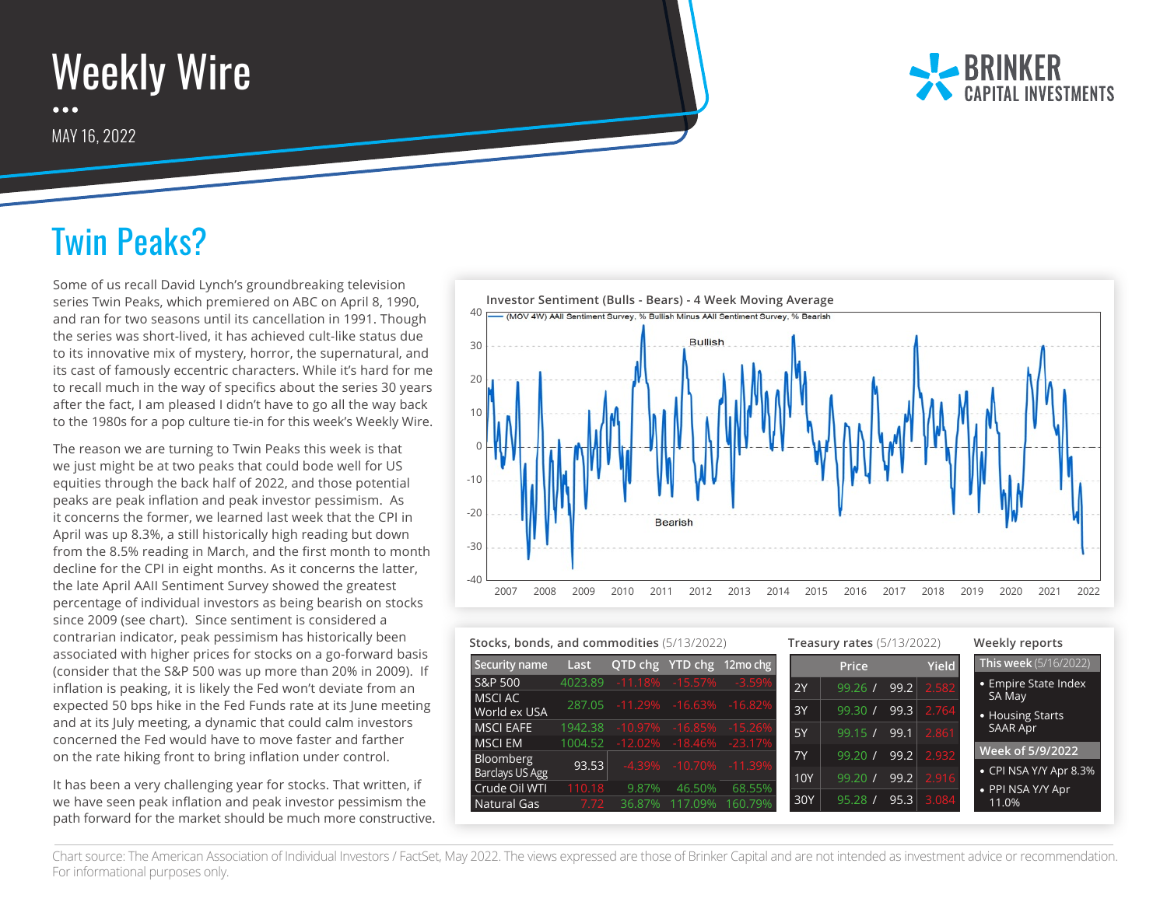## Weekly Wire  $\bullet\bullet\bullet$

MAY 16, 2022



## Twin Peaks?

Some of us recall David Lynch's groundbreaking television series Twin Peaks, which premiered on ABC on April 8, 1990, and ran for two seasons until its cancellation in 1991. Though the series was short-lived, it has achieved cult-like status due to its innovative mix of mystery, horror, the supernatural, and its cast of famously eccentric characters. While it's hard for me to recall much in the way of specifics about the series 30 years after the fact, I am pleased I didn't have to go all the way back to the 1980s for a pop culture tie-in for this week's Weekly Wire.

The reason we are turning to Twin Peaks this week is that we just might be at two peaks that could bode well for US equities through the back half of 2022, and those potential peaks are peak inflation and peak investor pessimism. As it concerns the former, we learned last week that the CPI in April was up 8.3%, a still historically high reading but down from the 8.5% reading in March, and the first month to month decline for the CPI in eight months. As it concerns the latter, the late April AAII Sentiment Survey showed the greatest percentage of individual investors as being bearish on stocks since 2009 (see chart). Since sentiment is considered a contrarian indicator, peak pessimism has historically been associated with higher prices for stocks on a go-forward basis (consider that the S&P 500 was up more than 20% in 2009). If inflation is peaking, it is likely the Fed won't deviate from an expected 50 bps hike in the Fed Funds rate at its June meeting and at its July meeting, a dynamic that could calm investors concerned the Fed would have to move faster and farther on the rate hiking front to bring inflation under control.

It has been a very challenging year for stocks. That written, if we have seen peak inflation and peak investor pessimism the path forward for the market should be much more constructive.



| Stocks, bonds, and commodities (5/13/2022) |         |            | <b>Treasury rates</b> (5/13/2022) |                          |            |         | Weekly reports |              |                              |
|--------------------------------------------|---------|------------|-----------------------------------|--------------------------|------------|---------|----------------|--------------|------------------------------|
| Security name                              | Last    |            |                                   | QTD chg YTD chg 12mo chg |            | Price   |                | <b>Yield</b> | <b>This week</b> (5/16/2022) |
| S&P 500                                    | 4023.89 |            | $-11.18\% -15.57\%$               | $-3.59%$                 | 2Y         | 99.261  | 99.2           | 2.582        | <b>•</b> Empire State Index  |
| MSCI AC<br>World ex USA                    | 287.05  |            | $-11.29\%$ $-16.63\%$ $-16.82\%$  |                          | 3Y         | 99.30 / | 99.3           | 2.764        | SA May<br>• Housing Starts   |
| <b>MSCI EAFE</b>                           | 1942.38 | $-10.97\%$ | $-16.85\%$                        | $-15.26%$                | 5Y         | 99.15/  | 99.1           | 2.861        | <b>SAAR Apr</b>              |
| <b>MSCI EM</b>                             | 1004.52 |            | $-12.02\% -18.46\% -23.17\%$      |                          |            |         | 99.2           |              | Week of 5/9/2022             |
| Bloomberg                                  | 93.53   |            | $-4.39\% -10.70\% -11.39\%$       |                          | <b>7Y</b>  | 99.201  |                | 2.932        | • CPI NSA Y/Y Apr 8.3%       |
| Barclays US Agg<br>Crude Oil WTI           | 110.18  | 9.87%      | 46.50%                            | 68.55%                   | <b>10Y</b> | 99.201  | 99.2           | 2.916        |                              |
| Natural Gas                                | 7.72    | 36.87%     | 117.09%                           | 160.79%                  | 30Y        | 95.28   | 95.3           | 3.084        | • PPI NSA Y/Y Apr<br>11.0%   |

Chart source: The American Association of Individual Investors / FactSet, May 2022. The views expressed are those of Brinker Capital and are not intended as investment advice or recommendation. For informational purposes only.